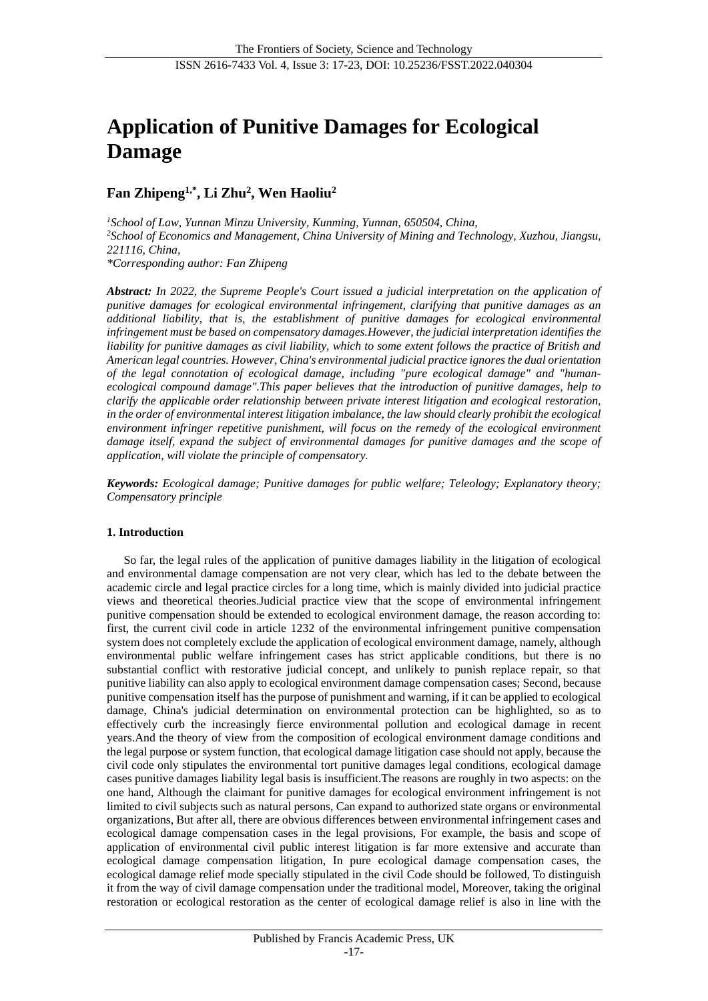# **Application of Punitive Damages for Ecological Damage**

**Fan Zhipeng1,\* , Li Zhu<sup>2</sup> , Wen Haoliu<sup>2</sup>**

*<sup>1</sup>School of Law, Yunnan Minzu University, Kunming, Yunnan, 650504, China, <sup>2</sup>School of Economics and Management, China University of Mining and Technology, Xuzhou, Jiangsu, 221116, China, \*Corresponding author: Fan Zhipeng*

*Abstract: In 2022, the Supreme People's Court issued a judicial interpretation on the application of punitive damages for ecological environmental infringement, clarifying that punitive damages as an additional liability, that is, the establishment of punitive damages for ecological environmental infringement must be based on compensatory damages.However, the judicial interpretation identifies the liability for punitive damages as civil liability, which to some extent follows the practice of British and American legal countries. However, China's environmental judicial practice ignores the dual orientation of the legal connotation of ecological damage, including "pure ecological damage" and "humanecological compound damage".This paper believes that the introduction of punitive damages, help to clarify the applicable order relationship between private interest litigation and ecological restoration, in the order of environmental interest litigation imbalance, the law should clearly prohibit the ecological environment infringer repetitive punishment, will focus on the remedy of the ecological environment damage itself, expand the subject of environmental damages for punitive damages and the scope of application, will violate the principle of compensatory.*

*Keywords: Ecological damage; Punitive damages for public welfare; Teleology; Explanatory theory; Compensatory principle*

#### **1. Introduction**

So far, the legal rules of the application of punitive damages liability in the litigation of ecological and environmental damage compensation are not very clear, which has led to the debate between the academic circle and legal practice circles for a long time, which is mainly divided into judicial practice views and theoretical theories.Judicial practice view that the scope of environmental infringement punitive compensation should be extended to ecological environment damage, the reason according to: first, the current civil code in article 1232 of the environmental infringement punitive compensation system does not completely exclude the application of ecological environment damage, namely, although environmental public welfare infringement cases has strict applicable conditions, but there is no substantial conflict with restorative judicial concept, and unlikely to punish replace repair, so that punitive liability can also apply to ecological environment damage compensation cases; Second, because punitive compensation itself has the purpose of punishment and warning, if it can be applied to ecological damage, China's judicial determination on environmental protection can be highlighted, so as to effectively curb the increasingly fierce environmental pollution and ecological damage in recent years.And the theory of view from the composition of ecological environment damage conditions and the legal purpose or system function, that ecological damage litigation case should not apply, because the civil code only stipulates the environmental tort punitive damages legal conditions, ecological damage cases punitive damages liability legal basis is insufficient.The reasons are roughly in two aspects: on the one hand, Although the claimant for punitive damages for ecological environment infringement is not limited to civil subjects such as natural persons, Can expand to authorized state organs or environmental organizations, But after all, there are obvious differences between environmental infringement cases and ecological damage compensation cases in the legal provisions, For example, the basis and scope of application of environmental civil public interest litigation is far more extensive and accurate than ecological damage compensation litigation, In pure ecological damage compensation cases, the ecological damage relief mode specially stipulated in the civil Code should be followed, To distinguish it from the way of civil damage compensation under the traditional model, Moreover, taking the original restoration or ecological restoration as the center of ecological damage relief is also in line with the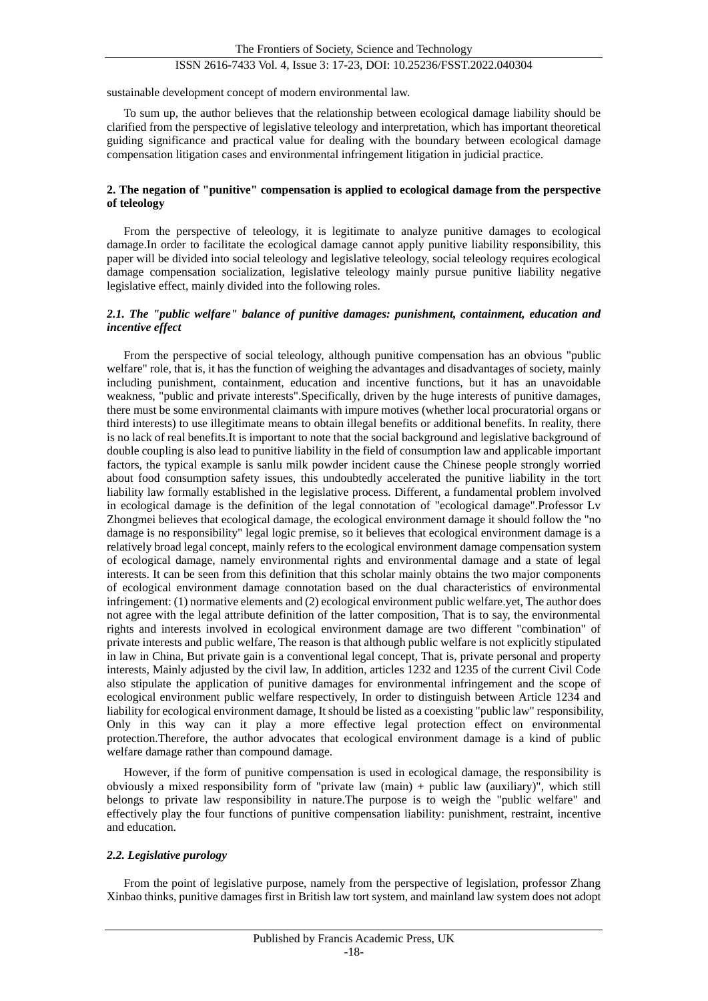## ISSN 2616-7433 Vol. 4, Issue 3: 17-23, DOI: 10.25236/FSST.2022.040304

sustainable development concept of modern environmental law.

To sum up, the author believes that the relationship between ecological damage liability should be clarified from the perspective of legislative teleology and interpretation, which has important theoretical guiding significance and practical value for dealing with the boundary between ecological damage compensation litigation cases and environmental infringement litigation in judicial practice.

#### **2. The negation of "punitive" compensation is applied to ecological damage from the perspective of teleology**

From the perspective of teleology, it is legitimate to analyze punitive damages to ecological damage.In order to facilitate the ecological damage cannot apply punitive liability responsibility, this paper will be divided into social teleology and legislative teleology, social teleology requires ecological damage compensation socialization, legislative teleology mainly pursue punitive liability negative legislative effect, mainly divided into the following roles.

#### *2.1. The "public welfare" balance of punitive damages: punishment, containment, education and incentive effect*

From the perspective of social teleology, although punitive compensation has an obvious "public welfare" role, that is, it has the function of weighing the advantages and disadvantages of society, mainly including punishment, containment, education and incentive functions, but it has an unavoidable weakness, "public and private interests".Specifically, driven by the huge interests of punitive damages, there must be some environmental claimants with impure motives (whether local procuratorial organs or third interests) to use illegitimate means to obtain illegal benefits or additional benefits. In reality, there is no lack of real benefits.It is important to note that the social background and legislative background of double coupling is also lead to punitive liability in the field of consumption law and applicable important factors, the typical example is sanlu milk powder incident cause the Chinese people strongly worried about food consumption safety issues, this undoubtedly accelerated the punitive liability in the tort liability law formally established in the legislative process. Different, a fundamental problem involved in ecological damage is the definition of the legal connotation of "ecological damage".Professor Lv Zhongmei believes that ecological damage, the ecological environment damage it should follow the "no damage is no responsibility" legal logic premise, so it believes that ecological environment damage is a relatively broad legal concept, mainly refers to the ecological environment damage compensation system of ecological damage, namely environmental rights and environmental damage and a state of legal interests. It can be seen from this definition that this scholar mainly obtains the two major components of ecological environment damage connotation based on the dual characteristics of environmental infringement: (1) normative elements and (2) ecological environment public welfare.yet, The author does not agree with the legal attribute definition of the latter composition, That is to say, the environmental rights and interests involved in ecological environment damage are two different "combination" of private interests and public welfare, The reason is that although public welfare is not explicitly stipulated in law in China, But private gain is a conventional legal concept, That is, private personal and property interests, Mainly adjusted by the civil law, In addition, articles 1232 and 1235 of the current Civil Code also stipulate the application of punitive damages for environmental infringement and the scope of ecological environment public welfare respectively, In order to distinguish between Article 1234 and liability for ecological environment damage, It should be listed as a coexisting "public law" responsibility, Only in this way can it play a more effective legal protection effect on environmental protection.Therefore, the author advocates that ecological environment damage is a kind of public welfare damage rather than compound damage.

However, if the form of punitive compensation is used in ecological damage, the responsibility is obviously a mixed responsibility form of "private law (main) + public law (auxiliary)", which still belongs to private law responsibility in nature.The purpose is to weigh the "public welfare" and effectively play the four functions of punitive compensation liability: punishment, restraint, incentive and education.

### *2.2. Legislative purology*

From the point of legislative purpose, namely from the perspective of legislation, professor Zhang Xinbao thinks, punitive damages first in British law tort system, and mainland law system does not adopt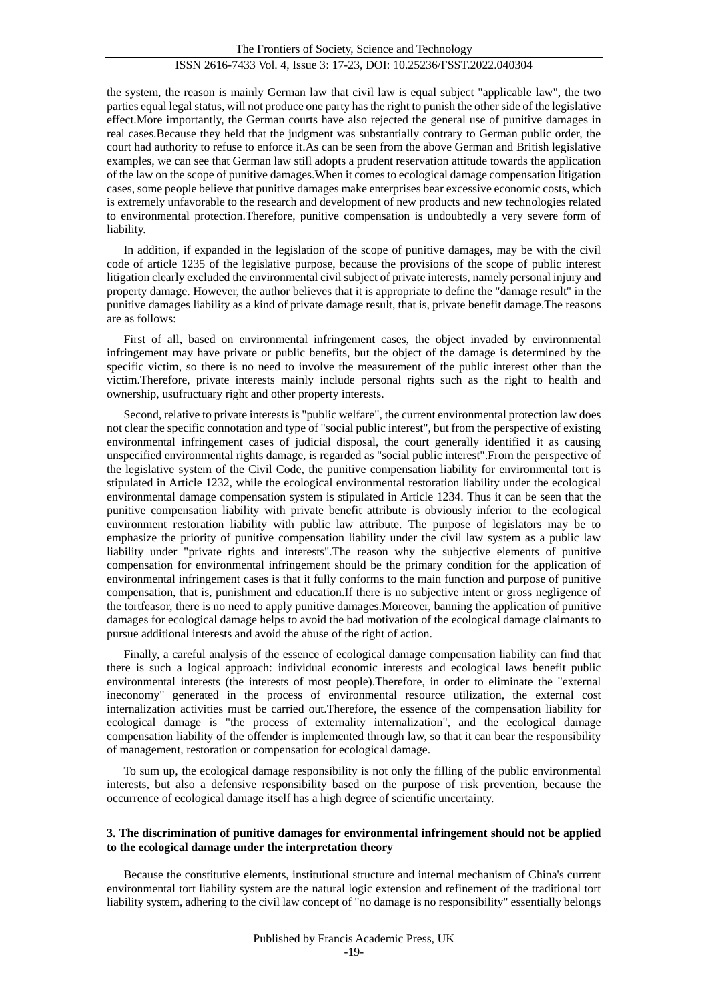the system, the reason is mainly German law that civil law is equal subject "applicable law", the two parties equal legal status, will not produce one party has the right to punish the other side of the legislative effect.More importantly, the German courts have also rejected the general use of punitive damages in real cases.Because they held that the judgment was substantially contrary to German public order, the court had authority to refuse to enforce it.As can be seen from the above German and British legislative examples, we can see that German law still adopts a prudent reservation attitude towards the application of the law on the scope of punitive damages.When it comes to ecological damage compensation litigation cases, some people believe that punitive damages make enterprises bear excessive economic costs, which is extremely unfavorable to the research and development of new products and new technologies related to environmental protection.Therefore, punitive compensation is undoubtedly a very severe form of liability.

In addition, if expanded in the legislation of the scope of punitive damages, may be with the civil code of article 1235 of the legislative purpose, because the provisions of the scope of public interest litigation clearly excluded the environmental civil subject of private interests, namely personal injury and property damage. However, the author believes that it is appropriate to define the "damage result" in the punitive damages liability as a kind of private damage result, that is, private benefit damage.The reasons are as follows:

First of all, based on environmental infringement cases, the object invaded by environmental infringement may have private or public benefits, but the object of the damage is determined by the specific victim, so there is no need to involve the measurement of the public interest other than the victim.Therefore, private interests mainly include personal rights such as the right to health and ownership, usufructuary right and other property interests.

Second, relative to private interests is "public welfare", the current environmental protection law does not clear the specific connotation and type of "social public interest", but from the perspective of existing environmental infringement cases of judicial disposal, the court generally identified it as causing unspecified environmental rights damage, is regarded as "social public interest".From the perspective of the legislative system of the Civil Code, the punitive compensation liability for environmental tort is stipulated in Article 1232, while the ecological environmental restoration liability under the ecological environmental damage compensation system is stipulated in Article 1234. Thus it can be seen that the punitive compensation liability with private benefit attribute is obviously inferior to the ecological environment restoration liability with public law attribute. The purpose of legislators may be to emphasize the priority of punitive compensation liability under the civil law system as a public law liability under "private rights and interests".The reason why the subjective elements of punitive compensation for environmental infringement should be the primary condition for the application of environmental infringement cases is that it fully conforms to the main function and purpose of punitive compensation, that is, punishment and education.If there is no subjective intent or gross negligence of the tortfeasor, there is no need to apply punitive damages.Moreover, banning the application of punitive damages for ecological damage helps to avoid the bad motivation of the ecological damage claimants to pursue additional interests and avoid the abuse of the right of action.

Finally, a careful analysis of the essence of ecological damage compensation liability can find that there is such a logical approach: individual economic interests and ecological laws benefit public environmental interests (the interests of most people).Therefore, in order to eliminate the "external ineconomy" generated in the process of environmental resource utilization, the external cost internalization activities must be carried out.Therefore, the essence of the compensation liability for ecological damage is "the process of externality internalization", and the ecological damage compensation liability of the offender is implemented through law, so that it can bear the responsibility of management, restoration or compensation for ecological damage.

To sum up, the ecological damage responsibility is not only the filling of the public environmental interests, but also a defensive responsibility based on the purpose of risk prevention, because the occurrence of ecological damage itself has a high degree of scientific uncertainty.

#### **3. The discrimination of punitive damages for environmental infringement should not be applied to the ecological damage under the interpretation theory**

Because the constitutive elements, institutional structure and internal mechanism of China's current environmental tort liability system are the natural logic extension and refinement of the traditional tort liability system, adhering to the civil law concept of "no damage is no responsibility" essentially belongs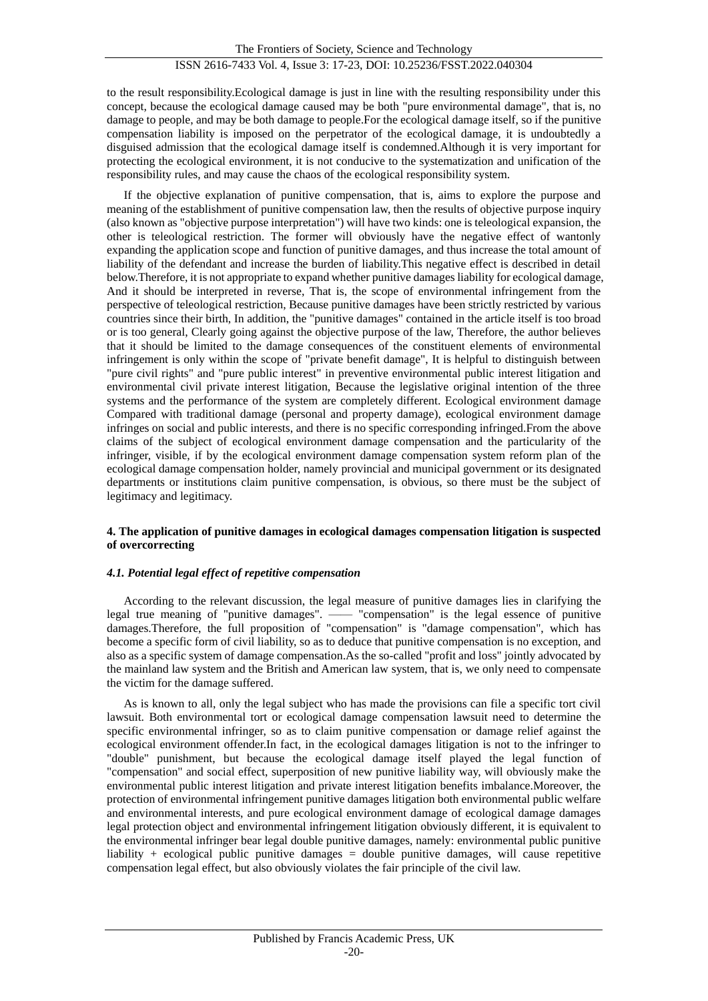to the result responsibility.Ecological damage is just in line with the resulting responsibility under this concept, because the ecological damage caused may be both "pure environmental damage", that is, no damage to people, and may be both damage to people.For the ecological damage itself, so if the punitive compensation liability is imposed on the perpetrator of the ecological damage, it is undoubtedly a disguised admission that the ecological damage itself is condemned.Although it is very important for protecting the ecological environment, it is not conducive to the systematization and unification of the responsibility rules, and may cause the chaos of the ecological responsibility system.

If the objective explanation of punitive compensation, that is, aims to explore the purpose and meaning of the establishment of punitive compensation law, then the results of objective purpose inquiry (also known as "objective purpose interpretation") will have two kinds: one is teleological expansion, the other is teleological restriction. The former will obviously have the negative effect of wantonly expanding the application scope and function of punitive damages, and thus increase the total amount of liability of the defendant and increase the burden of liability.This negative effect is described in detail below.Therefore, it is not appropriate to expand whether punitive damages liability for ecological damage, And it should be interpreted in reverse, That is, the scope of environmental infringement from the perspective of teleological restriction, Because punitive damages have been strictly restricted by various countries since their birth, In addition, the "punitive damages" contained in the article itself is too broad or is too general, Clearly going against the objective purpose of the law, Therefore, the author believes that it should be limited to the damage consequences of the constituent elements of environmental infringement is only within the scope of "private benefit damage", It is helpful to distinguish between "pure civil rights" and "pure public interest" in preventive environmental public interest litigation and environmental civil private interest litigation, Because the legislative original intention of the three systems and the performance of the system are completely different. Ecological environment damage Compared with traditional damage (personal and property damage), ecological environment damage infringes on social and public interests, and there is no specific corresponding infringed.From the above claims of the subject of ecological environment damage compensation and the particularity of the infringer, visible, if by the ecological environment damage compensation system reform plan of the ecological damage compensation holder, namely provincial and municipal government or its designated departments or institutions claim punitive compensation, is obvious, so there must be the subject of legitimacy and legitimacy.

#### **4. The application of punitive damages in ecological damages compensation litigation is suspected of overcorrecting**

#### *4.1. Potential legal effect of repetitive compensation*

According to the relevant discussion, the legal measure of punitive damages lies in clarifying the legal true meaning of "punitive damages". —— "compensation" is the legal essence of punitive damages.Therefore, the full proposition of "compensation" is "damage compensation", which has become a specific form of civil liability, so as to deduce that punitive compensation is no exception, and also as a specific system of damage compensation.As the so-called "profit and loss" jointly advocated by the mainland law system and the British and American law system, that is, we only need to compensate the victim for the damage suffered.

As is known to all, only the legal subject who has made the provisions can file a specific tort civil lawsuit. Both environmental tort or ecological damage compensation lawsuit need to determine the specific environmental infringer, so as to claim punitive compensation or damage relief against the ecological environment offender.In fact, in the ecological damages litigation is not to the infringer to "double" punishment, but because the ecological damage itself played the legal function of "compensation" and social effect, superposition of new punitive liability way, will obviously make the environmental public interest litigation and private interest litigation benefits imbalance.Moreover, the protection of environmental infringement punitive damages litigation both environmental public welfare and environmental interests, and pure ecological environment damage of ecological damage damages legal protection object and environmental infringement litigation obviously different, it is equivalent to the environmental infringer bear legal double punitive damages, namely: environmental public punitive liability  $+$  ecological public punitive damages  $=$  double punitive damages, will cause repetitive compensation legal effect, but also obviously violates the fair principle of the civil law.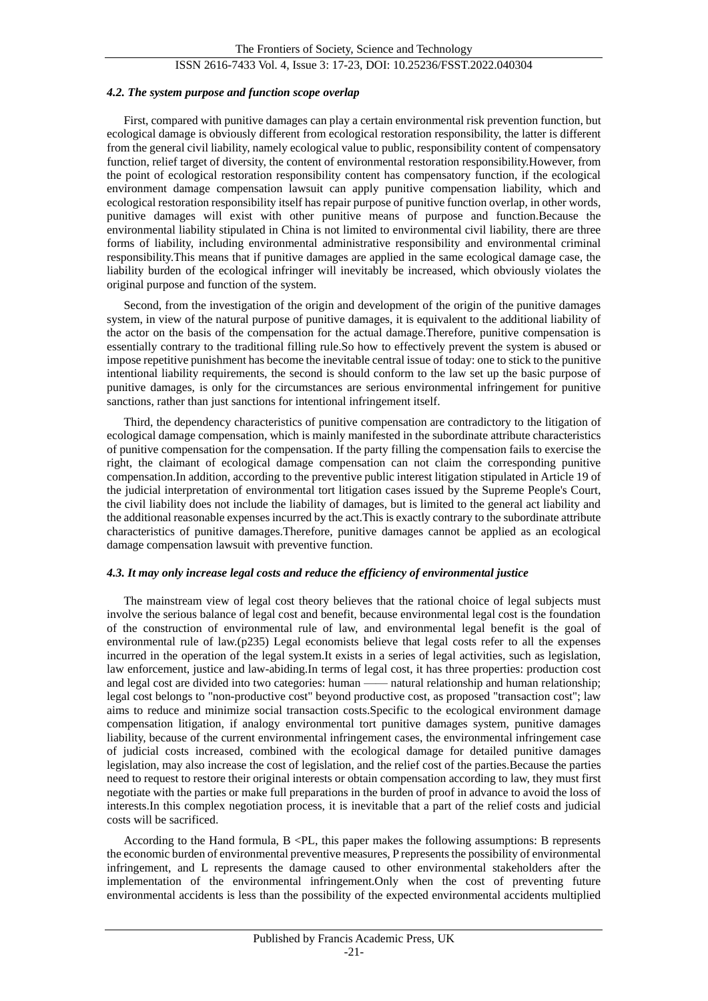# ISSN 2616-7433 Vol. 4, Issue 3: 17-23, DOI: 10.25236/FSST.2022.040304

#### *4.2. The system purpose and function scope overlap*

First, compared with punitive damages can play a certain environmental risk prevention function, but ecological damage is obviously different from ecological restoration responsibility, the latter is different from the general civil liability, namely ecological value to public, responsibility content of compensatory function, relief target of diversity, the content of environmental restoration responsibility.However, from the point of ecological restoration responsibility content has compensatory function, if the ecological environment damage compensation lawsuit can apply punitive compensation liability, which and ecological restoration responsibility itself has repair purpose of punitive function overlap, in other words, punitive damages will exist with other punitive means of purpose and function.Because the environmental liability stipulated in China is not limited to environmental civil liability, there are three forms of liability, including environmental administrative responsibility and environmental criminal responsibility.This means that if punitive damages are applied in the same ecological damage case, the liability burden of the ecological infringer will inevitably be increased, which obviously violates the original purpose and function of the system.

Second, from the investigation of the origin and development of the origin of the punitive damages system, in view of the natural purpose of punitive damages, it is equivalent to the additional liability of the actor on the basis of the compensation for the actual damage.Therefore, punitive compensation is essentially contrary to the traditional filling rule.So how to effectively prevent the system is abused or impose repetitive punishment has become the inevitable central issue of today: one to stick to the punitive intentional liability requirements, the second is should conform to the law set up the basic purpose of punitive damages, is only for the circumstances are serious environmental infringement for punitive sanctions, rather than just sanctions for intentional infringement itself.

Third, the dependency characteristics of punitive compensation are contradictory to the litigation of ecological damage compensation, which is mainly manifested in the subordinate attribute characteristics of punitive compensation for the compensation. If the party filling the compensation fails to exercise the right, the claimant of ecological damage compensation can not claim the corresponding punitive compensation.In addition, according to the preventive public interest litigation stipulated in Article 19 of the judicial interpretation of environmental tort litigation cases issued by the Supreme People's Court, the civil liability does not include the liability of damages, but is limited to the general act liability and the additional reasonable expenses incurred by the act.This is exactly contrary to the subordinate attribute characteristics of punitive damages.Therefore, punitive damages cannot be applied as an ecological damage compensation lawsuit with preventive function.

#### *4.3. It may only increase legal costs and reduce the efficiency of environmental justice*

The mainstream view of legal cost theory believes that the rational choice of legal subjects must involve the serious balance of legal cost and benefit, because environmental legal cost is the foundation of the construction of environmental rule of law, and environmental legal benefit is the goal of environmental rule of law.(p235) Legal economists believe that legal costs refer to all the expenses incurred in the operation of the legal system.It exists in a series of legal activities, such as legislation, law enforcement, justice and law-abiding.In terms of legal cost, it has three properties: production cost and legal cost are divided into two categories: human —— natural relationship and human relationship; legal cost belongs to "non-productive cost" beyond productive cost, as proposed "transaction cost"; law aims to reduce and minimize social transaction costs.Specific to the ecological environment damage compensation litigation, if analogy environmental tort punitive damages system, punitive damages liability, because of the current environmental infringement cases, the environmental infringement case of judicial costs increased, combined with the ecological damage for detailed punitive damages legislation, may also increase the cost of legislation, and the relief cost of the parties.Because the parties need to request to restore their original interests or obtain compensation according to law, they must first negotiate with the parties or make full preparations in the burden of proof in advance to avoid the loss of interests.In this complex negotiation process, it is inevitable that a part of the relief costs and judicial costs will be sacrificed.

According to the Hand formula,  $B \le PL$ , this paper makes the following assumptions: B represents the economic burden of environmental preventive measures, P represents the possibility of environmental infringement, and L represents the damage caused to other environmental stakeholders after the implementation of the environmental infringement.Only when the cost of preventing future environmental accidents is less than the possibility of the expected environmental accidents multiplied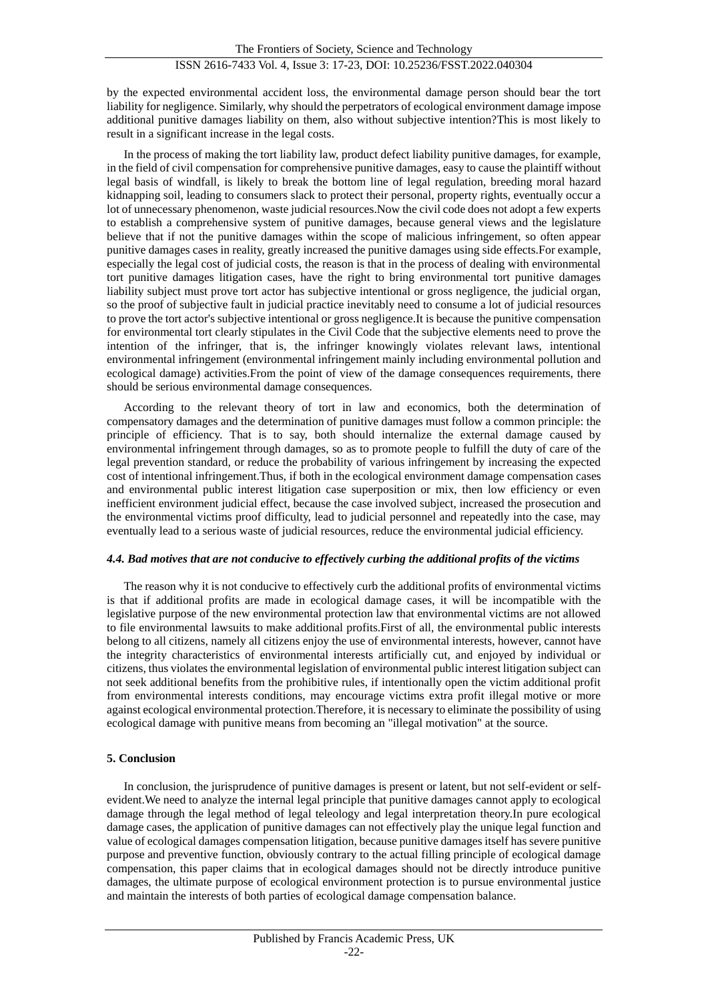by the expected environmental accident loss, the environmental damage person should bear the tort liability for negligence. Similarly, why should the perpetrators of ecological environment damage impose additional punitive damages liability on them, also without subjective intention?This is most likely to result in a significant increase in the legal costs.

In the process of making the tort liability law, product defect liability punitive damages, for example, in the field of civil compensation for comprehensive punitive damages, easy to cause the plaintiff without legal basis of windfall, is likely to break the bottom line of legal regulation, breeding moral hazard kidnapping soil, leading to consumers slack to protect their personal, property rights, eventually occur a lot of unnecessary phenomenon, waste judicial resources.Now the civil code does not adopt a few experts to establish a comprehensive system of punitive damages, because general views and the legislature believe that if not the punitive damages within the scope of malicious infringement, so often appear punitive damages cases in reality, greatly increased the punitive damages using side effects.For example, especially the legal cost of judicial costs, the reason is that in the process of dealing with environmental tort punitive damages litigation cases, have the right to bring environmental tort punitive damages liability subject must prove tort actor has subjective intentional or gross negligence, the judicial organ, so the proof of subjective fault in judicial practice inevitably need to consume a lot of judicial resources to prove the tort actor's subjective intentional or gross negligence.It is because the punitive compensation for environmental tort clearly stipulates in the Civil Code that the subjective elements need to prove the intention of the infringer, that is, the infringer knowingly violates relevant laws, intentional environmental infringement (environmental infringement mainly including environmental pollution and ecological damage) activities.From the point of view of the damage consequences requirements, there should be serious environmental damage consequences.

According to the relevant theory of tort in law and economics, both the determination of compensatory damages and the determination of punitive damages must follow a common principle: the principle of efficiency. That is to say, both should internalize the external damage caused by environmental infringement through damages, so as to promote people to fulfill the duty of care of the legal prevention standard, or reduce the probability of various infringement by increasing the expected cost of intentional infringement.Thus, if both in the ecological environment damage compensation cases and environmental public interest litigation case superposition or mix, then low efficiency or even inefficient environment judicial effect, because the case involved subject, increased the prosecution and the environmental victims proof difficulty, lead to judicial personnel and repeatedly into the case, may eventually lead to a serious waste of judicial resources, reduce the environmental judicial efficiency.

#### *4.4. Bad motives that are not conducive to effectively curbing the additional profits of the victims*

The reason why it is not conducive to effectively curb the additional profits of environmental victims is that if additional profits are made in ecological damage cases, it will be incompatible with the legislative purpose of the new environmental protection law that environmental victims are not allowed to file environmental lawsuits to make additional profits.First of all, the environmental public interests belong to all citizens, namely all citizens enjoy the use of environmental interests, however, cannot have the integrity characteristics of environmental interests artificially cut, and enjoyed by individual or citizens, thus violates the environmental legislation of environmental public interest litigation subject can not seek additional benefits from the prohibitive rules, if intentionally open the victim additional profit from environmental interests conditions, may encourage victims extra profit illegal motive or more against ecological environmental protection.Therefore, it is necessary to eliminate the possibility of using ecological damage with punitive means from becoming an "illegal motivation" at the source.

#### **5. Conclusion**

In conclusion, the jurisprudence of punitive damages is present or latent, but not self-evident or selfevident.We need to analyze the internal legal principle that punitive damages cannot apply to ecological damage through the legal method of legal teleology and legal interpretation theory.In pure ecological damage cases, the application of punitive damages can not effectively play the unique legal function and value of ecological damages compensation litigation, because punitive damages itself has severe punitive purpose and preventive function, obviously contrary to the actual filling principle of ecological damage compensation, this paper claims that in ecological damages should not be directly introduce punitive damages, the ultimate purpose of ecological environment protection is to pursue environmental justice and maintain the interests of both parties of ecological damage compensation balance.